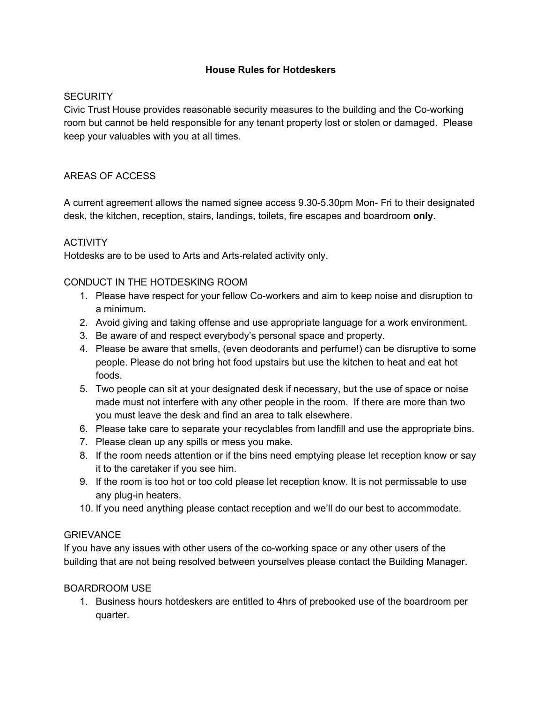## **House Rules for Hotdeskers**

## **SECURITY**

Civic Trust House provides reasonable security measures to the building and the Co-working room but cannot be held responsible for any tenant property lost or stolen or damaged. Please keep your valuables with you at all times.

## AREAS OF ACCESS

A current agreement allows the named signee access 9.30-5.30pm Mon- Fri to their designated desk, the kitchen, reception, stairs, landings, toilets, fire escapes and boardroom **only**.

## **ACTIVITY**

Hotdesks are to be used to Arts and Arts-related activity only.

## CONDUCT IN THE HOTDESKING ROOM

- 1. Please have respect for your fellow Co-workers and aim to keep noise and disruption to a minimum.
- 2. Avoid giving and taking offense and use appropriate language for a work environment.
- 3. Be aware of and respect everybody's personal space and property.
- 4. Please be aware that smells, (even deodorants and perfume!) can be disruptive to some people. Please do not bring hot food upstairs but use the kitchen to heat and eat hot foods.
- 5. Two people can sit at your designated desk if necessary, but the use of space or noise made must not interfere with any other people in the room. If there are more than two you must leave the desk and find an area to talk elsewhere.
- 6. Please take care to separate your recyclables from landfill and use the appropriate bins.
- 7. Please clean up any spills or mess you make.
- 8. If the room needs attention or if the bins need emptying please let reception know or say it to the caretaker if you see him.
- 9. If the room is too hot or too cold please let reception know. It is not permissable to use any plug-in heaters.
- 10. If you need anything please contact reception and we'll do our best to accommodate.

#### **GRIEVANCE**

If you have any issues with other users of the co-working space or any other users of the building that are not being resolved between yourselves please contact the Building Manager.

#### BOARDROOM USE

1. Business hours hotdeskers are entitled to 4hrs of prebooked use of the boardroom per quarter.